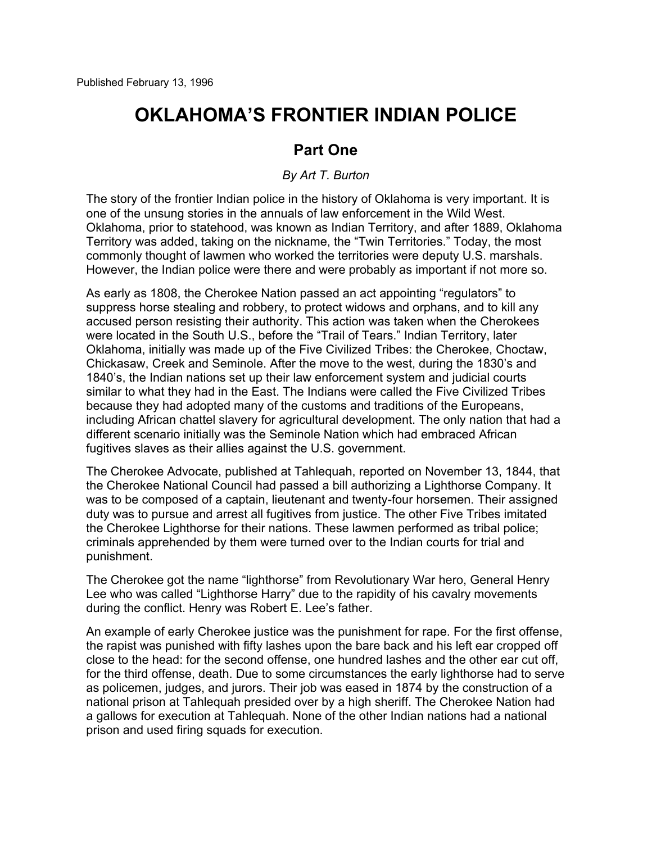## **OKLAHOMA'S FRONTIER INDIAN POLICE**

## **Part One**

*By Art T. Burton*

The story of the frontier Indian police in the history of Oklahoma is very important. It is one of the unsung stories in the annuals of law enforcement in the Wild West. Oklahoma, prior to statehood, was known as Indian Territory, and after 1889, Oklahoma Territory was added, taking on the nickname, the "Twin Territories." Today, the most commonly thought of lawmen who worked the territories were deputy U.S. marshals. However, the Indian police were there and were probably as important if not more so.

As early as 1808, the Cherokee Nation passed an act appointing "regulators" to suppress horse stealing and robbery, to protect widows and orphans, and to kill any accused person resisting their authority. This action was taken when the Cherokees were located in the South U.S., before the "Trail of Tears." Indian Territory, later Oklahoma, initially was made up of the Five Civilized Tribes: the Cherokee, Choctaw, Chickasaw, Creek and Seminole. After the move to the west, during the 1830's and 1840's, the Indian nations set up their law enforcement system and judicial courts similar to what they had in the East. The Indians were called the Five Civilized Tribes because they had adopted many of the customs and traditions of the Europeans, including African chattel slavery for agricultural development. The only nation that had a different scenario initially was the Seminole Nation which had embraced African fugitives slaves as their allies against the U.S. government.

The Cherokee Advocate, published at Tahlequah, reported on November 13, 1844, that the Cherokee National Council had passed a bill authorizing a Lighthorse Company. It was to be composed of a captain, lieutenant and twenty-four horsemen. Their assigned duty was to pursue and arrest all fugitives from justice. The other Five Tribes imitated the Cherokee Lighthorse for their nations. These lawmen performed as tribal police; criminals apprehended by them were turned over to the Indian courts for trial and punishment.

The Cherokee got the name "lighthorse" from Revolutionary War hero, General Henry Lee who was called "Lighthorse Harry" due to the rapidity of his cavalry movements during the conflict. Henry was Robert E. Lee's father.

An example of early Cherokee justice was the punishment for rape. For the first offense, the rapist was punished with fifty lashes upon the bare back and his left ear cropped off close to the head: for the second offense, one hundred lashes and the other ear cut off, for the third offense, death. Due to some circumstances the early lighthorse had to serve as policemen, judges, and jurors. Their job was eased in 1874 by the construction of a national prison at Tahlequah presided over by a high sheriff. The Cherokee Nation had a gallows for execution at Tahlequah. None of the other Indian nations had a national prison and used firing squads for execution.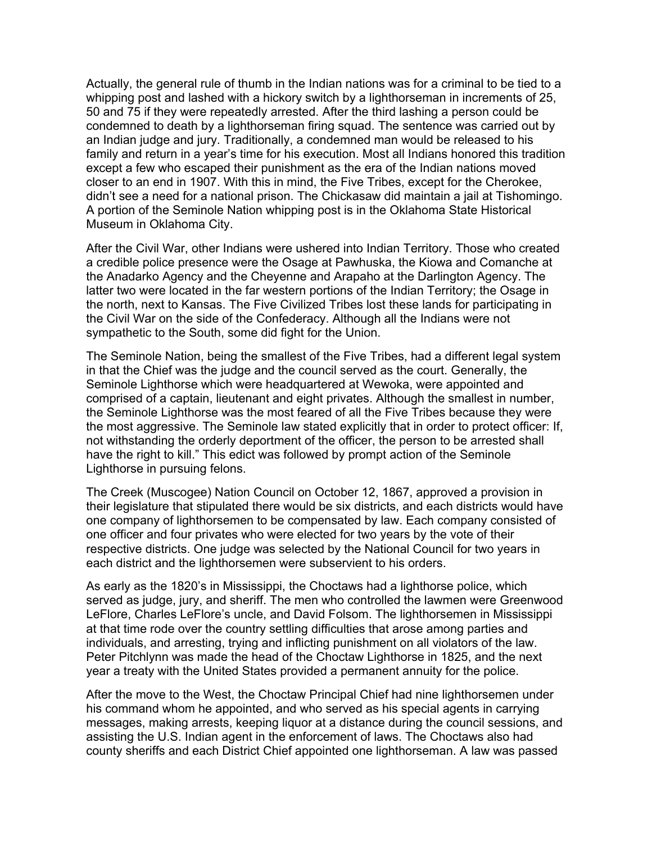Actually, the general rule of thumb in the Indian nations was for a criminal to be tied to a whipping post and lashed with a hickory switch by a lighthorseman in increments of 25, 50 and 75 if they were repeatedly arrested. After the third lashing a person could be condemned to death by a lighthorseman firing squad. The sentence was carried out by an Indian judge and jury. Traditionally, a condemned man would be released to his family and return in a year's time for his execution. Most all Indians honored this tradition except a few who escaped their punishment as the era of the Indian nations moved closer to an end in 1907. With this in mind, the Five Tribes, except for the Cherokee, didn't see a need for a national prison. The Chickasaw did maintain a jail at Tishomingo. A portion of the Seminole Nation whipping post is in the Oklahoma State Historical Museum in Oklahoma City.

After the Civil War, other Indians were ushered into Indian Territory. Those who created a credible police presence were the Osage at Pawhuska, the Kiowa and Comanche at the Anadarko Agency and the Cheyenne and Arapaho at the Darlington Agency. The latter two were located in the far western portions of the Indian Territory; the Osage in the north, next to Kansas. The Five Civilized Tribes lost these lands for participating in the Civil War on the side of the Confederacy. Although all the Indians were not sympathetic to the South, some did fight for the Union.

The Seminole Nation, being the smallest of the Five Tribes, had a different legal system in that the Chief was the judge and the council served as the court. Generally, the Seminole Lighthorse which were headquartered at Wewoka, were appointed and comprised of a captain, lieutenant and eight privates. Although the smallest in number, the Seminole Lighthorse was the most feared of all the Five Tribes because they were the most aggressive. The Seminole law stated explicitly that in order to protect officer: If, not withstanding the orderly deportment of the officer, the person to be arrested shall have the right to kill." This edict was followed by prompt action of the Seminole Lighthorse in pursuing felons.

The Creek (Muscogee) Nation Council on October 12, 1867, approved a provision in their legislature that stipulated there would be six districts, and each districts would have one company of lighthorsemen to be compensated by law. Each company consisted of one officer and four privates who were elected for two years by the vote of their respective districts. One judge was selected by the National Council for two years in each district and the lighthorsemen were subservient to his orders.

As early as the 1820's in Mississippi, the Choctaws had a lighthorse police, which served as judge, jury, and sheriff. The men who controlled the lawmen were Greenwood LeFlore, Charles LeFlore's uncle, and David Folsom. The lighthorsemen in Mississippi at that time rode over the country settling difficulties that arose among parties and individuals, and arresting, trying and inflicting punishment on all violators of the law. Peter Pitchlynn was made the head of the Choctaw Lighthorse in 1825, and the next year a treaty with the United States provided a permanent annuity for the police.

After the move to the West, the Choctaw Principal Chief had nine lighthorsemen under his command whom he appointed, and who served as his special agents in carrying messages, making arrests, keeping liquor at a distance during the council sessions, and assisting the U.S. Indian agent in the enforcement of laws. The Choctaws also had county sheriffs and each District Chief appointed one lighthorseman. A law was passed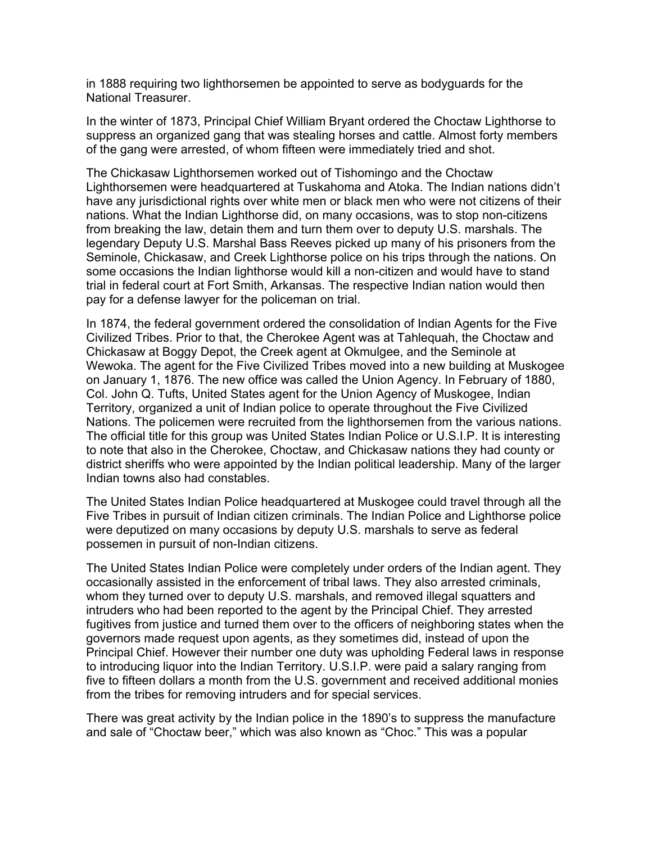in 1888 requiring two lighthorsemen be appointed to serve as bodyguards for the National Treasurer.

In the winter of 1873, Principal Chief William Bryant ordered the Choctaw Lighthorse to suppress an organized gang that was stealing horses and cattle. Almost forty members of the gang were arrested, of whom fifteen were immediately tried and shot.

The Chickasaw Lighthorsemen worked out of Tishomingo and the Choctaw Lighthorsemen were headquartered at Tuskahoma and Atoka. The Indian nations didn't have any jurisdictional rights over white men or black men who were not citizens of their nations. What the Indian Lighthorse did, on many occasions, was to stop non-citizens from breaking the law, detain them and turn them over to deputy U.S. marshals. The legendary Deputy U.S. Marshal Bass Reeves picked up many of his prisoners from the Seminole, Chickasaw, and Creek Lighthorse police on his trips through the nations. On some occasions the Indian lighthorse would kill a non-citizen and would have to stand trial in federal court at Fort Smith, Arkansas. The respective Indian nation would then pay for a defense lawyer for the policeman on trial.

In 1874, the federal government ordered the consolidation of Indian Agents for the Five Civilized Tribes. Prior to that, the Cherokee Agent was at Tahlequah, the Choctaw and Chickasaw at Boggy Depot, the Creek agent at Okmulgee, and the Seminole at Wewoka. The agent for the Five Civilized Tribes moved into a new building at Muskogee on January 1, 1876. The new office was called the Union Agency. In February of 1880, Col. John Q. Tufts, United States agent for the Union Agency of Muskogee, Indian Territory, organized a unit of Indian police to operate throughout the Five Civilized Nations. The policemen were recruited from the lighthorsemen from the various nations. The official title for this group was United States Indian Police or U.S.I.P. It is interesting to note that also in the Cherokee, Choctaw, and Chickasaw nations they had county or district sheriffs who were appointed by the Indian political leadership. Many of the larger Indian towns also had constables.

The United States Indian Police headquartered at Muskogee could travel through all the Five Tribes in pursuit of Indian citizen criminals. The Indian Police and Lighthorse police were deputized on many occasions by deputy U.S. marshals to serve as federal possemen in pursuit of non-Indian citizens.

The United States Indian Police were completely under orders of the Indian agent. They occasionally assisted in the enforcement of tribal laws. They also arrested criminals, whom they turned over to deputy U.S. marshals, and removed illegal squatters and intruders who had been reported to the agent by the Principal Chief. They arrested fugitives from justice and turned them over to the officers of neighboring states when the governors made request upon agents, as they sometimes did, instead of upon the Principal Chief. However their number one duty was upholding Federal laws in response to introducing liquor into the Indian Territory. U.S.I.P. were paid a salary ranging from five to fifteen dollars a month from the U.S. government and received additional monies from the tribes for removing intruders and for special services.

There was great activity by the Indian police in the 1890's to suppress the manufacture and sale of "Choctaw beer," which was also known as "Choc." This was a popular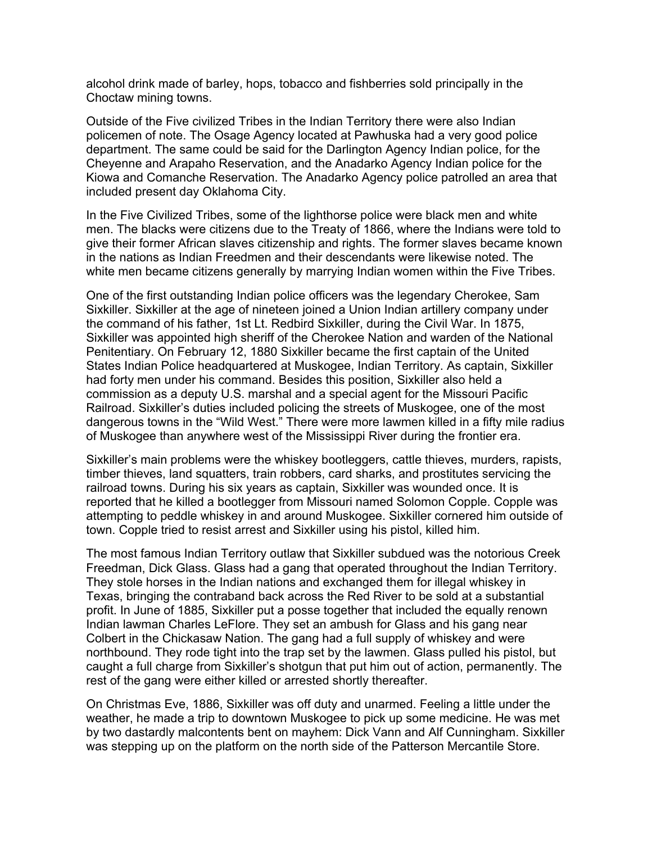alcohol drink made of barley, hops, tobacco and fishberries sold principally in the Choctaw mining towns.

Outside of the Five civilized Tribes in the Indian Territory there were also Indian policemen of note. The Osage Agency located at Pawhuska had a very good police department. The same could be said for the Darlington Agency Indian police, for the Cheyenne and Arapaho Reservation, and the Anadarko Agency Indian police for the Kiowa and Comanche Reservation. The Anadarko Agency police patrolled an area that included present day Oklahoma City.

In the Five Civilized Tribes, some of the lighthorse police were black men and white men. The blacks were citizens due to the Treaty of 1866, where the Indians were told to give their former African slaves citizenship and rights. The former slaves became known in the nations as Indian Freedmen and their descendants were likewise noted. The white men became citizens generally by marrying Indian women within the Five Tribes.

One of the first outstanding Indian police officers was the legendary Cherokee, Sam Sixkiller. Sixkiller at the age of nineteen joined a Union Indian artillery company under the command of his father, 1st Lt. Redbird Sixkiller, during the Civil War. In 1875, Sixkiller was appointed high sheriff of the Cherokee Nation and warden of the National Penitentiary. On February 12, 1880 Sixkiller became the first captain of the United States Indian Police headquartered at Muskogee, Indian Territory. As captain, Sixkiller had forty men under his command. Besides this position, Sixkiller also held a commission as a deputy U.S. marshal and a special agent for the Missouri Pacific Railroad. Sixkiller's duties included policing the streets of Muskogee, one of the most dangerous towns in the "Wild West." There were more lawmen killed in a fifty mile radius of Muskogee than anywhere west of the Mississippi River during the frontier era.

Sixkiller's main problems were the whiskey bootleggers, cattle thieves, murders, rapists, timber thieves, land squatters, train robbers, card sharks, and prostitutes servicing the railroad towns. During his six years as captain, Sixkiller was wounded once. It is reported that he killed a bootlegger from Missouri named Solomon Copple. Copple was attempting to peddle whiskey in and around Muskogee. Sixkiller cornered him outside of town. Copple tried to resist arrest and Sixkiller using his pistol, killed him.

The most famous Indian Territory outlaw that Sixkiller subdued was the notorious Creek Freedman, Dick Glass. Glass had a gang that operated throughout the Indian Territory. They stole horses in the Indian nations and exchanged them for illegal whiskey in Texas, bringing the contraband back across the Red River to be sold at a substantial profit. In June of 1885, Sixkiller put a posse together that included the equally renown Indian lawman Charles LeFlore. They set an ambush for Glass and his gang near Colbert in the Chickasaw Nation. The gang had a full supply of whiskey and were northbound. They rode tight into the trap set by the lawmen. Glass pulled his pistol, but caught a full charge from Sixkiller's shotgun that put him out of action, permanently. The rest of the gang were either killed or arrested shortly thereafter.

On Christmas Eve, 1886, Sixkiller was off duty and unarmed. Feeling a little under the weather, he made a trip to downtown Muskogee to pick up some medicine. He was met by two dastardly malcontents bent on mayhem: Dick Vann and Alf Cunningham. Sixkiller was stepping up on the platform on the north side of the Patterson Mercantile Store.